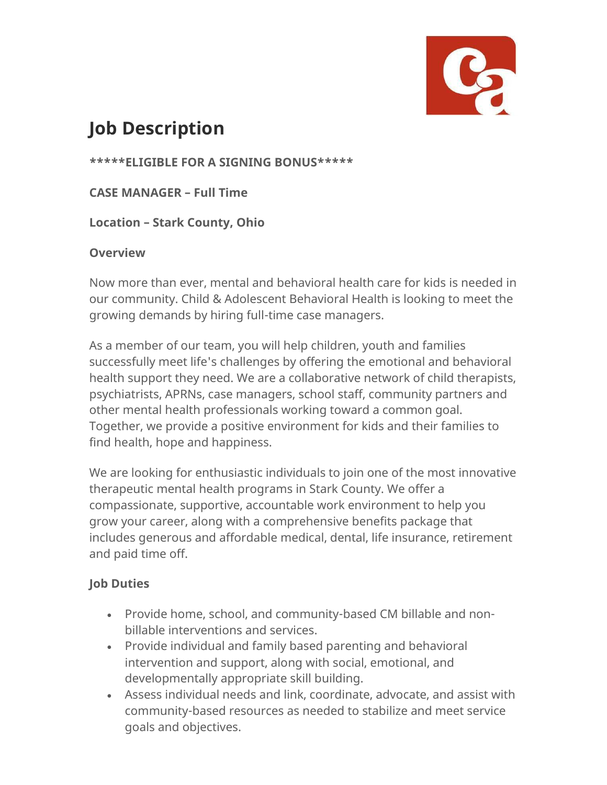

## **Job Description**

**\*\*\*\*\*ELIGIBLE FOR A SIGNING BONUS\*\*\*\*\***

**CASE MANAGER – Full Time**

**Location – Stark County, Ohio**

## **Overview**

Now more than ever, mental and behavioral health care for kids is needed in our community. Child & Adolescent Behavioral Health is looking to meet the growing demands by hiring full-time case managers.

As a member of our team, you will help children, youth and families successfully meet life's challenges by offering the emotional and behavioral health support they need. We are a collaborative network of child therapists, psychiatrists, APRNs, case managers, school staff, community partners and other mental health professionals working toward a common goal. Together, we provide a positive environment for kids and their families to find health, hope and happiness.

We are looking for enthusiastic individuals to join one of the most innovative therapeutic mental health programs in Stark County. We offer a compassionate, supportive, accountable work environment to help you grow your career, along with a comprehensive benefits package that includes generous and affordable medical, dental, life insurance, retirement and paid time off.

## **Job Duties**

- Provide home, school, and community-based CM billable and nonbillable interventions and services.
- Provide individual and family based parenting and behavioral intervention and support, along with social, emotional, and developmentally appropriate skill building.
- Assess individual needs and link, coordinate, advocate, and assist with community-based resources as needed to stabilize and meet service goals and objectives.